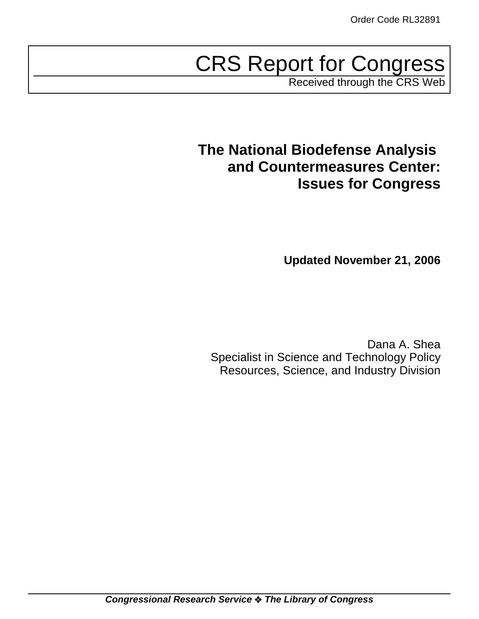# CRS Report for Congress

Received through the CRS Web

# **The National Biodefense Analysis and Countermeasures Center: Issues for Congress**

**Updated November 21, 2006**

Dana A. Shea Specialist in Science and Technology Policy Resources, Science, and Industry Division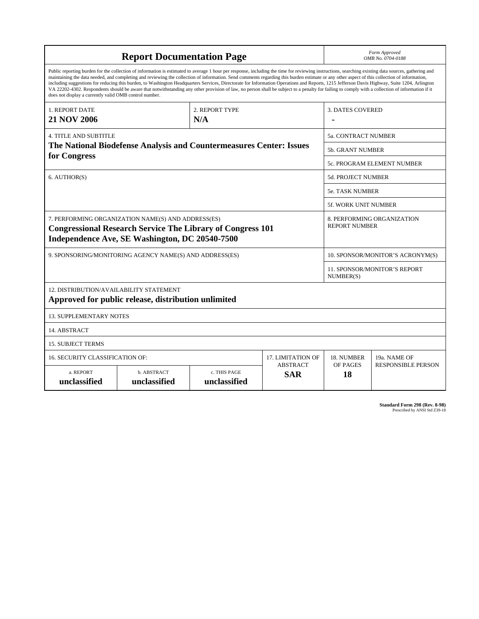| <b>Report Documentation Page</b>                                                                                                                                                                                                                                                                                                                                                                                                                                                                                                                                                                                                                                                                                                                                                                                                                                   |                             |                              |                               | Form Approved<br>OMB No. 0704-0188                 |                           |  |
|--------------------------------------------------------------------------------------------------------------------------------------------------------------------------------------------------------------------------------------------------------------------------------------------------------------------------------------------------------------------------------------------------------------------------------------------------------------------------------------------------------------------------------------------------------------------------------------------------------------------------------------------------------------------------------------------------------------------------------------------------------------------------------------------------------------------------------------------------------------------|-----------------------------|------------------------------|-------------------------------|----------------------------------------------------|---------------------------|--|
| Public reporting burden for the collection of information is estimated to average 1 hour per response, including the time for reviewing instructions, searching existing data sources, gathering and<br>maintaining the data needed, and completing and reviewing the collection of information. Send comments regarding this burden estimate or any other aspect of this collection of information,<br>including suggestions for reducing this burden, to Washington Headquarters Services, Directorate for Information Operations and Reports, 1215 Jefferson Davis Highway, Suite 1204, Arlington<br>VA 22202-4302. Respondents should be aware that notwithstanding any other provision of law, no person shall be subject to a penalty for failing to comply with a collection of information if it<br>does not display a currently valid OMB control number. |                             |                              |                               |                                                    |                           |  |
| 1. REPORT DATE<br><b>21 NOV 2006</b>                                                                                                                                                                                                                                                                                                                                                                                                                                                                                                                                                                                                                                                                                                                                                                                                                               |                             | 2. REPORT TYPE<br>N/A        |                               | <b>3. DATES COVERED</b>                            |                           |  |
| <b>4. TITLE AND SUBTITLE</b><br>The National Biodefense Analysis and Countermeasures Center: Issues                                                                                                                                                                                                                                                                                                                                                                                                                                                                                                                                                                                                                                                                                                                                                                |                             |                              |                               | 5a. CONTRACT NUMBER                                |                           |  |
|                                                                                                                                                                                                                                                                                                                                                                                                                                                                                                                                                                                                                                                                                                                                                                                                                                                                    |                             |                              |                               | 5b. GRANT NUMBER                                   |                           |  |
| for Congress                                                                                                                                                                                                                                                                                                                                                                                                                                                                                                                                                                                                                                                                                                                                                                                                                                                       |                             |                              |                               | 5c. PROGRAM ELEMENT NUMBER                         |                           |  |
| 6. AUTHOR(S)                                                                                                                                                                                                                                                                                                                                                                                                                                                                                                                                                                                                                                                                                                                                                                                                                                                       |                             |                              |                               | 5d. PROJECT NUMBER                                 |                           |  |
|                                                                                                                                                                                                                                                                                                                                                                                                                                                                                                                                                                                                                                                                                                                                                                                                                                                                    |                             |                              |                               | <b>5e. TASK NUMBER</b>                             |                           |  |
|                                                                                                                                                                                                                                                                                                                                                                                                                                                                                                                                                                                                                                                                                                                                                                                                                                                                    |                             |                              |                               | <b>5f. WORK UNIT NUMBER</b>                        |                           |  |
| 7. PERFORMING ORGANIZATION NAME(S) AND ADDRESS(ES)<br><b>Congressional Research Service The Library of Congress 101</b><br>Independence Ave, SE Washington, DC 20540-7500                                                                                                                                                                                                                                                                                                                                                                                                                                                                                                                                                                                                                                                                                          |                             |                              |                               | 8. PERFORMING ORGANIZATION<br><b>REPORT NUMBER</b> |                           |  |
| 9. SPONSORING/MONITORING AGENCY NAME(S) AND ADDRESS(ES)                                                                                                                                                                                                                                                                                                                                                                                                                                                                                                                                                                                                                                                                                                                                                                                                            |                             |                              |                               | 10. SPONSOR/MONITOR'S ACRONYM(S)                   |                           |  |
|                                                                                                                                                                                                                                                                                                                                                                                                                                                                                                                                                                                                                                                                                                                                                                                                                                                                    |                             |                              |                               | <b>11. SPONSOR/MONITOR'S REPORT</b><br>NUMBER(S)   |                           |  |
| 12. DISTRIBUTION/AVAILABILITY STATEMENT<br>Approved for public release, distribution unlimited                                                                                                                                                                                                                                                                                                                                                                                                                                                                                                                                                                                                                                                                                                                                                                     |                             |                              |                               |                                                    |                           |  |
| <b>13. SUPPLEMENTARY NOTES</b>                                                                                                                                                                                                                                                                                                                                                                                                                                                                                                                                                                                                                                                                                                                                                                                                                                     |                             |                              |                               |                                                    |                           |  |
| 14. ABSTRACT                                                                                                                                                                                                                                                                                                                                                                                                                                                                                                                                                                                                                                                                                                                                                                                                                                                       |                             |                              |                               |                                                    |                           |  |
| <b>15. SUBJECT TERMS</b>                                                                                                                                                                                                                                                                                                                                                                                                                                                                                                                                                                                                                                                                                                                                                                                                                                           |                             |                              |                               |                                                    |                           |  |
| <b>16. SECURITY CLASSIFICATION OF:</b>                                                                                                                                                                                                                                                                                                                                                                                                                                                                                                                                                                                                                                                                                                                                                                                                                             |                             |                              | <b>17. LIMITATION OF</b>      | 18. NUMBER                                         | 19a. NAME OF              |  |
| a. REPORT<br>unclassified                                                                                                                                                                                                                                                                                                                                                                                                                                                                                                                                                                                                                                                                                                                                                                                                                                          | b. ABSTRACT<br>unclassified | c. THIS PAGE<br>unclassified | <b>ABSTRACT</b><br><b>SAR</b> | OF PAGES<br>18                                     | <b>RESPONSIBLE PERSON</b> |  |

**Standard Form 298 (Rev. 8-98)**<br>Prescribed by ANSI Std Z39-18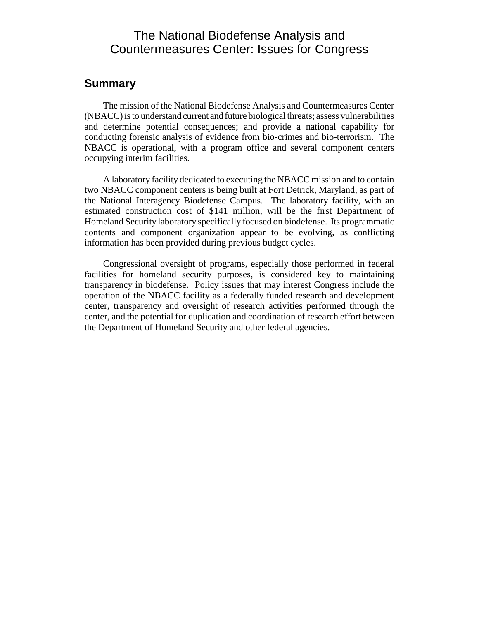### The National Biodefense Analysis and Countermeasures Center: Issues for Congress

#### **Summary**

The mission of the National Biodefense Analysis and Countermeasures Center (NBACC) is to understand current and future biological threats; assess vulnerabilities and determine potential consequences; and provide a national capability for conducting forensic analysis of evidence from bio-crimes and bio-terrorism. The NBACC is operational, with a program office and several component centers occupying interim facilities.

A laboratory facility dedicated to executing the NBACC mission and to contain two NBACC component centers is being built at Fort Detrick, Maryland, as part of the National Interagency Biodefense Campus. The laboratory facility, with an estimated construction cost of \$141 million, will be the first Department of Homeland Security laboratory specifically focused on biodefense. Its programmatic contents and component organization appear to be evolving, as conflicting information has been provided during previous budget cycles.

Congressional oversight of programs, especially those performed in federal facilities for homeland security purposes, is considered key to maintaining transparency in biodefense. Policy issues that may interest Congress include the operation of the NBACC facility as a federally funded research and development center, transparency and oversight of research activities performed through the center, and the potential for duplication and coordination of research effort between the Department of Homeland Security and other federal agencies.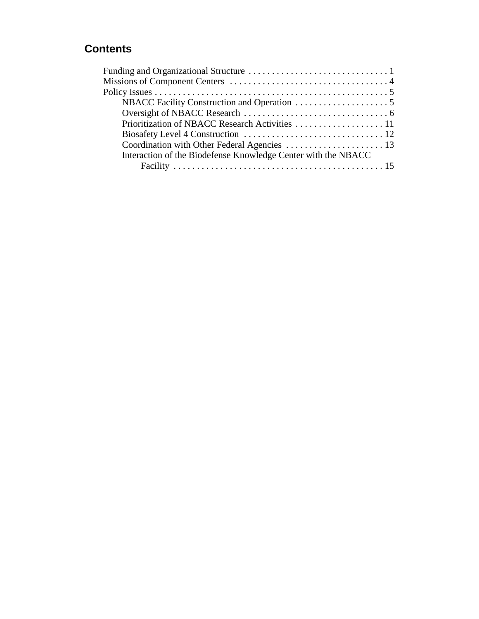### **Contents**

| Interaction of the Biodefense Knowledge Center with the NBACC |
|---------------------------------------------------------------|
|                                                               |
|                                                               |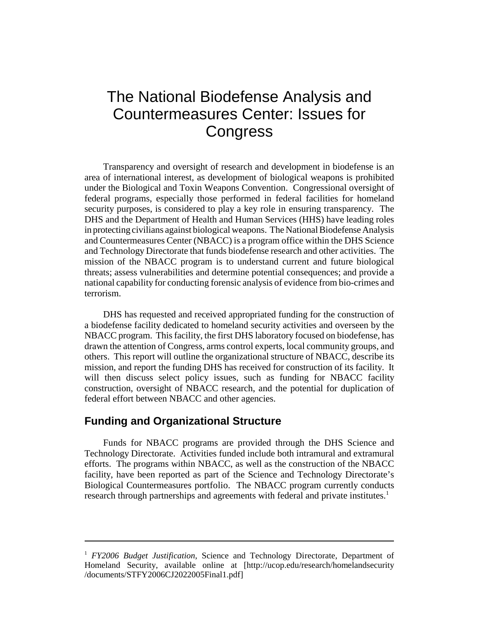# The National Biodefense Analysis and Countermeasures Center: Issues for **Congress**

Transparency and oversight of research and development in biodefense is an area of international interest, as development of biological weapons is prohibited under the Biological and Toxin Weapons Convention. Congressional oversight of federal programs, especially those performed in federal facilities for homeland security purposes, is considered to play a key role in ensuring transparency. The DHS and the Department of Health and Human Services (HHS) have leading roles in protecting civilians against biological weapons. The National Biodefense Analysis and Countermeasures Center (NBACC) is a program office within the DHS Science and Technology Directorate that funds biodefense research and other activities. The mission of the NBACC program is to understand current and future biological threats; assess vulnerabilities and determine potential consequences; and provide a national capability for conducting forensic analysis of evidence from bio-crimes and terrorism.

DHS has requested and received appropriated funding for the construction of a biodefense facility dedicated to homeland security activities and overseen by the NBACC program. This facility, the first DHS laboratory focused on biodefense, has drawn the attention of Congress, arms control experts, local community groups, and others. This report will outline the organizational structure of NBACC, describe its mission, and report the funding DHS has received for construction of its facility. It will then discuss select policy issues, such as funding for NBACC facility construction, oversight of NBACC research, and the potential for duplication of federal effort between NBACC and other agencies.

#### **Funding and Organizational Structure**

Funds for NBACC programs are provided through the DHS Science and Technology Directorate. Activities funded include both intramural and extramural efforts. The programs within NBACC, as well as the construction of the NBACC facility, have been reported as part of the Science and Technology Directorate's Biological Countermeasures portfolio. The NBACC program currently conducts research through partnerships and agreements with federal and private institutes.<sup>1</sup>

<sup>1</sup> *FY2006 Budget Justification*, Science and Technology Directorate, Department of Homeland Security, available online at [http://ucop.edu/research/homelandsecurity /documents/STFY2006CJ2022005Final1.pdf]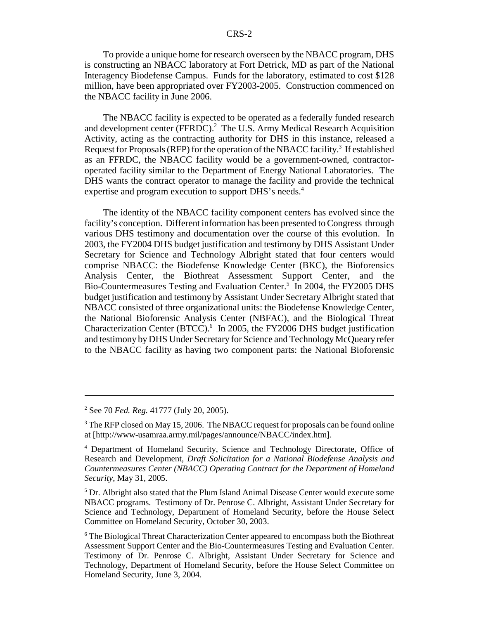To provide a unique home for research overseen by the NBACC program, DHS is constructing an NBACC laboratory at Fort Detrick, MD as part of the National Interagency Biodefense Campus. Funds for the laboratory, estimated to cost \$128 million, have been appropriated over FY2003-2005. Construction commenced on the NBACC facility in June 2006.

The NBACC facility is expected to be operated as a federally funded research and development center (FFRDC).<sup>2</sup> The U.S. Army Medical Research Acquisition Activity, acting as the contracting authority for DHS in this instance, released a Request for Proposals (RFP) for the operation of the NBACC facility.<sup>3</sup> If established as an FFRDC, the NBACC facility would be a government-owned, contractoroperated facility similar to the Department of Energy National Laboratories. The DHS wants the contract operator to manage the facility and provide the technical expertise and program execution to support DHS's needs.<sup>4</sup>

The identity of the NBACC facility component centers has evolved since the facility's conception. Different information has been presented to Congress through various DHS testimony and documentation over the course of this evolution. In 2003, the FY2004 DHS budget justification and testimony by DHS Assistant Under Secretary for Science and Technology Albright stated that four centers would comprise NBACC: the Biodefense Knowledge Center (BKC), the Bioforensics Analysis Center, the Biothreat Assessment Support Center, and the Bio-Countermeasures Testing and Evaluation Center.<sup>5</sup> In 2004, the FY2005 DHS budget justification and testimony by Assistant Under Secretary Albright stated that NBACC consisted of three organizational units: the Biodefense Knowledge Center, the National Bioforensic Analysis Center (NBFAC), and the Biological Threat Characterization Center (BTCC).<sup>6</sup> In 2005, the FY2006 DHS budget justification and testimony by DHS Under Secretary for Science and Technology McQueary refer to the NBACC facility as having two component parts: the National Bioforensic

<sup>2</sup> See 70 *Fed. Reg.* 41777 (July 20, 2005).

 $3$  The RFP closed on May 15, 2006. The NBACC request for proposals can be found online at [http://www-usamraa.army.mil/pages/announce/NBACC/index.htm].

<sup>4</sup> Department of Homeland Security, Science and Technology Directorate, Office of Research and Development, *Draft Solicitation for a National Biodefense Analysis and Countermeasures Center (NBACC) Operating Contract for the Department of Homeland Security*, May 31, 2005.

<sup>&</sup>lt;sup>5</sup> Dr. Albright also stated that the Plum Island Animal Disease Center would execute some NBACC programs. Testimony of Dr. Penrose C. Albright, Assistant Under Secretary for Science and Technology, Department of Homeland Security, before the House Select Committee on Homeland Security, October 30, 2003.

<sup>&</sup>lt;sup>6</sup> The Biological Threat Characterization Center appeared to encompass both the Biothreat Assessment Support Center and the Bio-Countermeasures Testing and Evaluation Center. Testimony of Dr. Penrose C. Albright, Assistant Under Secretary for Science and Technology, Department of Homeland Security, before the House Select Committee on Homeland Security, June 3, 2004.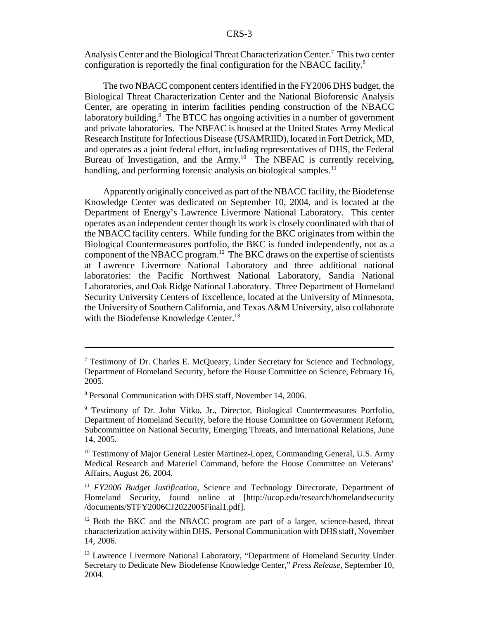Analysis Center and the Biological Threat Characterization Center.<sup>7</sup> This two center configuration is reportedly the final configuration for the NBACC facility.8

The two NBACC component centers identified in the FY2006 DHS budget, the Biological Threat Characterization Center and the National Bioforensic Analysis Center, are operating in interim facilities pending construction of the NBACC laboratory building.<sup>9</sup> The BTCC has ongoing activities in a number of government and private laboratories. The NBFAC is housed at the United States Army Medical Research Institute for Infectious Disease (USAMRIID), located in Fort Detrick, MD, and operates as a joint federal effort, including representatives of DHS, the Federal Bureau of Investigation, and the Army.<sup>10</sup> The NBFAC is currently receiving, handling, and performing forensic analysis on biological samples.<sup>11</sup>

Apparently originally conceived as part of the NBACC facility, the Biodefense Knowledge Center was dedicated on September 10, 2004, and is located at the Department of Energy's Lawrence Livermore National Laboratory. This center operates as an independent center though its work is closely coordinated with that of the NBACC facility centers. While funding for the BKC originates from within the Biological Countermeasures portfolio, the BKC is funded independently, not as a component of the NBACC program.<sup>12</sup> The BKC draws on the expertise of scientists at Lawrence Livermore National Laboratory and three additional national laboratories: the Pacific Northwest National Laboratory, Sandia National Laboratories, and Oak Ridge National Laboratory. Three Department of Homeland Security University Centers of Excellence, located at the University of Minnesota, the University of Southern California, and Texas A&M University, also collaborate with the Biodefense Knowledge Center.<sup>13</sup>

<sup>&</sup>lt;sup>7</sup> Testimony of Dr. Charles E. McQueary, Under Secretary for Science and Technology, Department of Homeland Security, before the House Committee on Science, February 16, 2005.

<sup>8</sup> Personal Communication with DHS staff, November 14, 2006.

<sup>&</sup>lt;sup>9</sup> Testimony of Dr. John Vitko, Jr., Director, Biological Countermeasures Portfolio, Department of Homeland Security, before the House Committee on Government Reform, Subcommittee on National Security, Emerging Threats, and International Relations, June 14, 2005.

<sup>&</sup>lt;sup>10</sup> Testimony of Major General Lester Martinez-Lopez, Commanding General, U.S. Army Medical Research and Materiel Command, before the House Committee on Veterans' Affairs, August 26, 2004.

<sup>11</sup> *FY2006 Budget Justification*, Science and Technology Directorate, Department of Homeland Security, found online at [http://ucop.edu/research/homelandsecurity /documents/STFY2006CJ2022005Final1.pdf].

<sup>&</sup>lt;sup>12</sup> Both the BKC and the NBACC program are part of a larger, science-based, threat characterization activity within DHS. Personal Communication with DHS staff, November 14, 2006.

<sup>&</sup>lt;sup>13</sup> Lawrence Livermore National Laboratory, "Department of Homeland Security Under Secretary to Dedicate New Biodefense Knowledge Center," *Press Release*, September 10, 2004.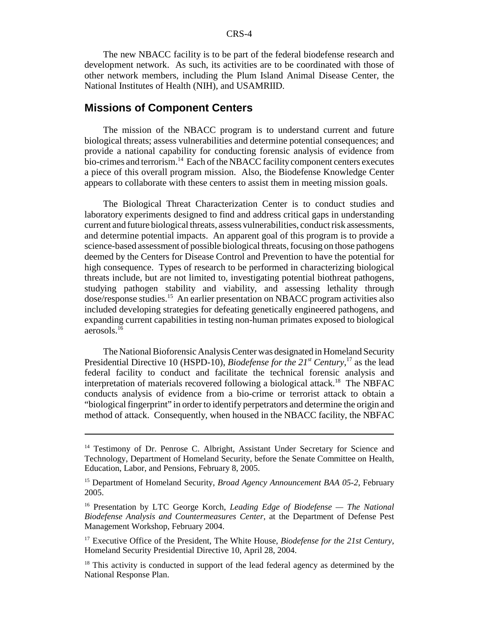The new NBACC facility is to be part of the federal biodefense research and development network. As such, its activities are to be coordinated with those of other network members, including the Plum Island Animal Disease Center, the National Institutes of Health (NIH), and USAMRIID.

#### **Missions of Component Centers**

The mission of the NBACC program is to understand current and future biological threats; assess vulnerabilities and determine potential consequences; and provide a national capability for conducting forensic analysis of evidence from bio-crimes and terrorism.<sup>14</sup> Each of the NBACC facility component centers executes a piece of this overall program mission. Also, the Biodefense Knowledge Center appears to collaborate with these centers to assist them in meeting mission goals.

The Biological Threat Characterization Center is to conduct studies and laboratory experiments designed to find and address critical gaps in understanding current and future biological threats, assess vulnerabilities, conduct risk assessments, and determine potential impacts. An apparent goal of this program is to provide a science-based assessment of possible biological threats, focusing on those pathogens deemed by the Centers for Disease Control and Prevention to have the potential for high consequence. Types of research to be performed in characterizing biological threats include, but are not limited to, investigating potential biothreat pathogens, studying pathogen stability and viability, and assessing lethality through dose/response studies.15 An earlier presentation on NBACC program activities also included developing strategies for defeating genetically engineered pathogens, and expanding current capabilities in testing non-human primates exposed to biological aerosols.16

The National Bioforensic Analysis Center was designated in Homeland Security Presidential Directive 10 (HSPD-10), *Biodefense for the 21<sup>st</sup> Century*,<sup>17</sup> as the lead federal facility to conduct and facilitate the technical forensic analysis and interpretation of materials recovered following a biological attack.<sup>18</sup> The NBFAC conducts analysis of evidence from a bio-crime or terrorist attack to obtain a "biological fingerprint" in order to identify perpetrators and determine the origin and method of attack. Consequently, when housed in the NBACC facility, the NBFAC

<sup>&</sup>lt;sup>14</sup> Testimony of Dr. Penrose C. Albright, Assistant Under Secretary for Science and Technology, Department of Homeland Security, before the Senate Committee on Health, Education, Labor, and Pensions, February 8, 2005.

<sup>15</sup> Department of Homeland Security, *Broad Agency Announcement BAA 05-2*, February 2005.

<sup>16</sup> Presentation by LTC George Korch, *Leading Edge of Biodefense — The National Biodefense Analysis and Countermeasures Center*, at the Department of Defense Pest Management Workshop, February 2004.

<sup>17</sup> Executive Office of the President, The White House, *Biodefense for the 21st Century*, Homeland Security Presidential Directive 10, April 28, 2004.

<sup>&</sup>lt;sup>18</sup> This activity is conducted in support of the lead federal agency as determined by the National Response Plan.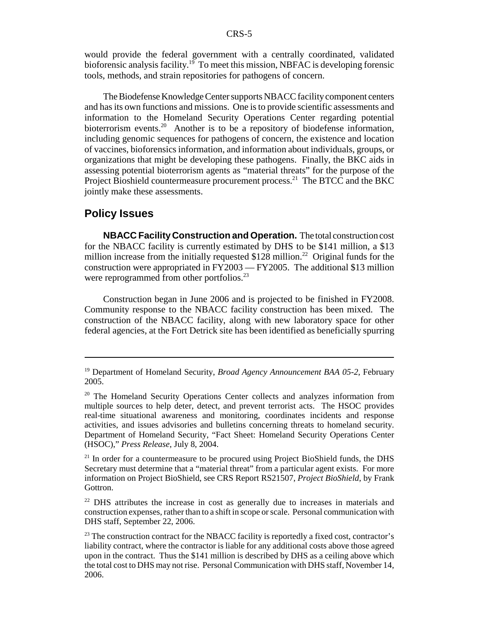would provide the federal government with a centrally coordinated, validated bioforensic analysis facility.<sup>19</sup> To meet this mission, NBFAC is developing forensic tools, methods, and strain repositories for pathogens of concern.

The Biodefense Knowledge Center supports NBACC facility component centers and has its own functions and missions. One is to provide scientific assessments and information to the Homeland Security Operations Center regarding potential bioterrorism events.<sup>20</sup> Another is to be a repository of biodefense information, including genomic sequences for pathogens of concern, the existence and location of vaccines, bioforensics information, and information about individuals, groups, or organizations that might be developing these pathogens. Finally, the BKC aids in assessing potential bioterrorism agents as "material threats" for the purpose of the Project Bioshield countermeasure procurement process.<sup>21</sup> The BTCC and the BKC jointly make these assessments.

#### **Policy Issues**

**NBACC Facility Construction and Operation.** The total construction cost for the NBACC facility is currently estimated by DHS to be \$141 million, a \$13 million increase from the initially requested  $$128$  million.<sup>22</sup> Original funds for the construction were appropriated in FY2003 — FY2005. The additional \$13 million were reprogrammed from other portfolios.<sup>23</sup>

Construction began in June 2006 and is projected to be finished in FY2008. Community response to the NBACC facility construction has been mixed. The construction of the NBACC facility, along with new laboratory space for other federal agencies, at the Fort Detrick site has been identified as beneficially spurring

<sup>19</sup> Department of Homeland Security, *Broad Agency Announcement BAA 05-2*, February 2005.

<sup>&</sup>lt;sup>20</sup> The Homeland Security Operations Center collects and analyzes information from multiple sources to help deter, detect, and prevent terrorist acts. The HSOC provides real-time situational awareness and monitoring, coordinates incidents and response activities, and issues advisories and bulletins concerning threats to homeland security. Department of Homeland Security, "Fact Sheet: Homeland Security Operations Center (HSOC)," *Press Release*, July 8, 2004.

 $21$  In order for a countermeasure to be procured using Project BioShield funds, the DHS Secretary must determine that a "material threat" from a particular agent exists. For more information on Project BioShield, see CRS Report RS21507, *Project BioShield*, by Frank Gottron.

<sup>&</sup>lt;sup>22</sup> DHS attributes the increase in cost as generally due to increases in materials and construction expenses, rather than to a shift in scope or scale. Personal communication with DHS staff, September 22, 2006.

<sup>&</sup>lt;sup>23</sup> The construction contract for the NBACC facility is reportedly a fixed cost, contractor's liability contract, where the contractor is liable for any additional costs above those agreed upon in the contract. Thus the \$141 million is described by DHS as a ceiling above which the total cost to DHS may not rise. Personal Communication with DHS staff, November 14, 2006.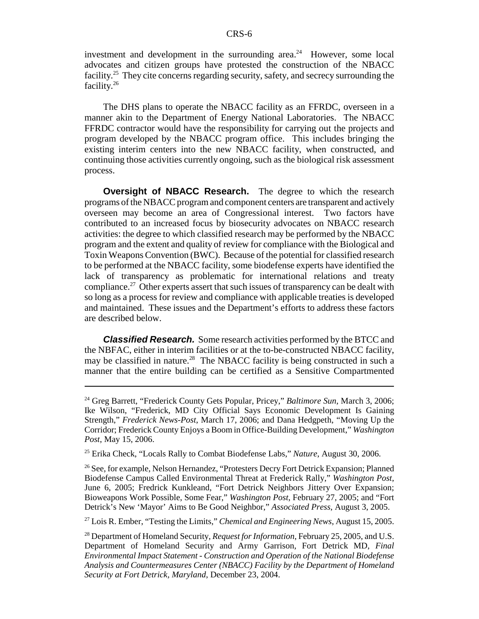investment and development in the surrounding area. $24$  However, some local advocates and citizen groups have protested the construction of the NBACC facility.<sup>25</sup> They cite concerns regarding security, safety, and secrecy surrounding the facility.26

The DHS plans to operate the NBACC facility as an FFRDC, overseen in a manner akin to the Department of Energy National Laboratories. The NBACC FFRDC contractor would have the responsibility for carrying out the projects and program developed by the NBACC program office. This includes bringing the existing interim centers into the new NBACC facility, when constructed, and continuing those activities currently ongoing, such as the biological risk assessment process.

**Oversight of NBACC Research.** The degree to which the research programs of the NBACC program and component centers are transparent and actively overseen may become an area of Congressional interest. Two factors have contributed to an increased focus by biosecurity advocates on NBACC research activities: the degree to which classified research may be performed by the NBACC program and the extent and quality of review for compliance with the Biological and Toxin Weapons Convention (BWC). Because of the potential for classified research to be performed at the NBACC facility, some biodefense experts have identified the lack of transparency as problematic for international relations and treaty compliance.<sup>27</sup> Other experts assert that such issues of transparency can be dealt with so long as a process for review and compliance with applicable treaties is developed and maintained. These issues and the Department's efforts to address these factors are described below.

*Classified Research.* Some research activities performed by the BTCC and the NBFAC, either in interim facilities or at the to-be-constructed NBACC facility, may be classified in nature.<sup>28</sup> The NBACC facility is being constructed in such a manner that the entire building can be certified as a Sensitive Compartmented

27 Lois R. Ember, "Testing the Limits," *Chemical and Engineering News*, August 15, 2005.

<sup>24</sup> Greg Barrett, "Frederick County Gets Popular, Pricey," *Baltimore Sun*, March 3, 2006; Ike Wilson, "Frederick, MD City Official Says Economic Development Is Gaining Strength," *Frederick News-Post*, March 17, 2006; and Dana Hedgpeth, "Moving Up the Corridor; Frederick County Enjoys a Boom in Office-Building Development," *Washington Post*, May 15, 2006.

<sup>25</sup> Erika Check, "Locals Rally to Combat Biodefense Labs," *Nature*, August 30, 2006.

<sup>&</sup>lt;sup>26</sup> See, for example, Nelson Hernandez, "Protesters Decry Fort Detrick Expansion; Planned Biodefense Campus Called Environmental Threat at Frederick Rally," *Washington Post*, June 6, 2005; Fredrick Kunkleand, "Fort Detrick Neighbors Jittery Over Expansion; Bioweapons Work Possible, Some Fear," *Washington Post*, February 27, 2005; and "Fort Detrick's New 'Mayor' Aims to Be Good Neighbor," *Associated Press*, August 3, 2005.

<sup>28</sup> Department of Homeland Security, *Request for Information*, February 25, 2005, and U.S. Department of Homeland Security and Army Garrison, Fort Detrick MD, *Final Environmental Impact Statement - Construction and Operation of the National Biodefense Analysis and Countermeasures Center (NBACC) Facility by the Department of Homeland Security at Fort Detrick, Maryland*, December 23, 2004.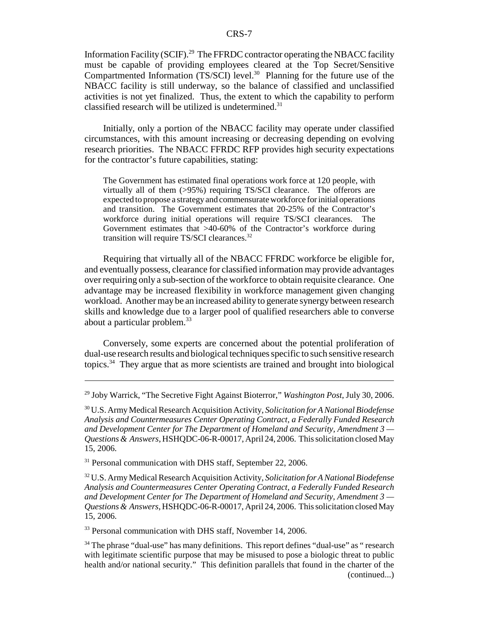Information Facility (SCIF).<sup>29</sup> The FFRDC contractor operating the NBACC facility must be capable of providing employees cleared at the Top Secret/Sensitive Compartmented Information (TS/SCI) level.<sup>30</sup> Planning for the future use of the NBACC facility is still underway, so the balance of classified and unclassified activities is not yet finalized. Thus, the extent to which the capability to perform classified research will be utilized is undetermined. $31$ 

Initially, only a portion of the NBACC facility may operate under classified circumstances, with this amount increasing or decreasing depending on evolving research priorities. The NBACC FFRDC RFP provides high security expectations for the contractor's future capabilities, stating:

The Government has estimated final operations work force at 120 people, with virtually all of them (>95%) requiring TS/SCI clearance. The offerors are expected to propose a strategy and commensurate workforce for initial operations and transition. The Government estimates that 20-25% of the Contractor's workforce during initial operations will require TS/SCI clearances. The Government estimates that >40-60% of the Contractor's workforce during transition will require TS/SCI clearances.32

Requiring that virtually all of the NBACC FFRDC workforce be eligible for, and eventually possess, clearance for classified information may provide advantages over requiring only a sub-section of the workforce to obtain requisite clearance. One advantage may be increased flexibility in workforce management given changing workload. Another may be an increased ability to generate synergy between research skills and knowledge due to a larger pool of qualified researchers able to converse about a particular problem.33

Conversely, some experts are concerned about the potential proliferation of dual-use research results and biological techniques specific to such sensitive research topics.34 They argue that as more scientists are trained and brought into biological

<sup>31</sup> Personal communication with DHS staff, September 22, 2006.

32 U.S. Army Medical Research Acquisition Activity, *Solicitation for A National Biodefense Analysis and Countermeasures Center Operating Contract, a Federally Funded Research and Development Center for The Department of Homeland and Security, Amendment 3 — Questions & Answers*, HSHQDC-06-R-00017, April 24, 2006. This solicitation closed May 15, 2006.

<sup>33</sup> Personal communication with DHS staff, November 14, 2006.

 $34$  The phrase "dual-use" has many definitions. This report defines "dual-use" as " research with legitimate scientific purpose that may be misused to pose a biologic threat to public health and/or national security." This definition parallels that found in the charter of the (continued...)

<sup>29</sup> Joby Warrick, "The Secretive Fight Against Bioterror," *Washington Post*, July 30, 2006.

<sup>30</sup> U.S. Army Medical Research Acquisition Activity, *Solicitation for A National Biodefense Analysis and Countermeasures Center Operating Contract, a Federally Funded Research and Development Center for The Department of Homeland and Security, Amendment 3 — Questions & Answers*, HSHQDC-06-R-00017, April 24, 2006. This solicitation closed May 15, 2006.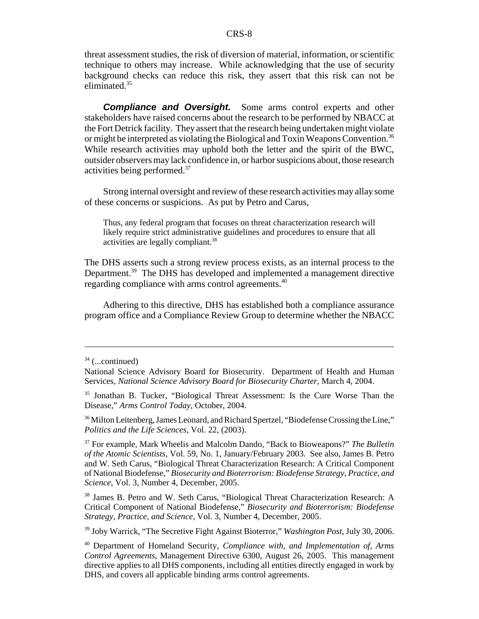threat assessment studies, the risk of diversion of material, information, or scientific technique to others may increase. While acknowledging that the use of security background checks can reduce this risk, they assert that this risk can not be eliminated.<sup>35</sup>

*Compliance and Oversight.* Some arms control experts and other stakeholders have raised concerns about the research to be performed by NBACC at the Fort Detrick facility. They assert that the research being undertaken might violate or might be interpreted as violating the Biological and Toxin Weapons Convention.36 While research activities may uphold both the letter and the spirit of the BWC, outsider observers may lack confidence in, or harbor suspicions about, those research activities being performed.37

Strong internal oversight and review of these research activities may allay some of these concerns or suspicions. As put by Petro and Carus,

Thus, any federal program that focuses on threat characterization research will likely require strict administrative guidelines and procedures to ensure that all activities are legally compliant.38

The DHS asserts such a strong review process exists, as an internal process to the Department.<sup>39</sup> The DHS has developed and implemented a management directive regarding compliance with arms control agreements.<sup>40</sup>

Adhering to this directive, DHS has established both a compliance assurance program office and a Compliance Review Group to determine whether the NBACC

<sup>36</sup> Milton Leitenberg, James Leonard, and Richard Spertzel, "Biodefense Crossing the Line," *Politics and the Life Sciences*, Vol. 22, (2003).

37 For example, Mark Wheelis and Malcolm Dando, "Back to Bioweapons?" *The Bulletin of the Atomic Scientists*, Vol. 59, No. 1, January/February 2003. See also, James B. Petro and W. Seth Carus, "Biological Threat Characterization Research: A Critical Component of National Biodefense," *Biosecurity and Bioterrorism: Biodefense Strategy, Practice, and Science*, Vol. 3, Number 4, December, 2005.

38 James B. Petro and W. Seth Carus, "Biological Threat Characterization Research: A Critical Component of National Biodefense," *Biosecurity and Bioterrorism: Biodefense Strategy, Practice, and Science*, Vol. 3, Number 4, December, 2005.

39 Joby Warrick, "The Secretive Fight Against Bioterror," *Washington Post*, July 30, 2006.

40 Department of Homeland Security, *Compliance with, and Implementation of, Arms Control Agreements*, Management Directive 6300, August 26, 2005. This management directive applies to all DHS components, including all entities directly engaged in work by DHS, and covers all applicable binding arms control agreements.

 $34$  (...continued)

National Science Advisory Board for Biosecurity. Department of Health and Human Services, *National Science Advisory Board for Biosecurity Charter*, March 4, 2004.

<sup>35</sup> Jonathan B. Tucker, "Biological Threat Assessment: Is the Cure Worse Than the Disease," *Arms Control Today*, October, 2004.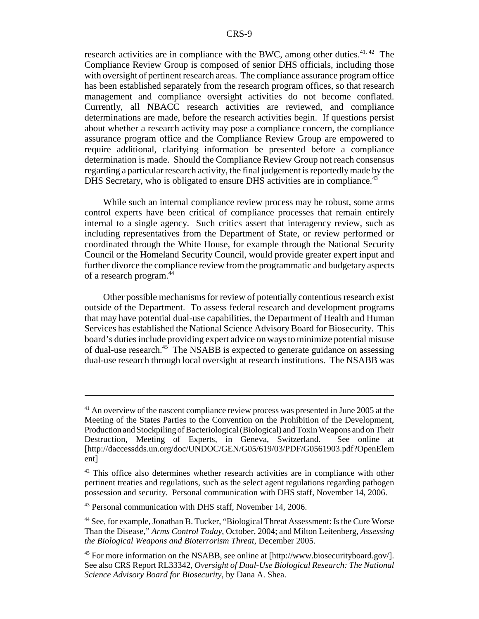research activities are in compliance with the BWC, among other duties.<sup>41, 42</sup> The Compliance Review Group is composed of senior DHS officials, including those with oversight of pertinent research areas. The compliance assurance program office has been established separately from the research program offices, so that research management and compliance oversight activities do not become conflated. Currently, all NBACC research activities are reviewed, and compliance determinations are made, before the research activities begin. If questions persist about whether a research activity may pose a compliance concern, the compliance assurance program office and the Compliance Review Group are empowered to require additional, clarifying information be presented before a compliance determination is made. Should the Compliance Review Group not reach consensus regarding a particular research activity, the final judgement is reportedly made by the DHS Secretary, who is obligated to ensure DHS activities are in compliance.<sup>43</sup>

While such an internal compliance review process may be robust, some arms control experts have been critical of compliance processes that remain entirely internal to a single agency. Such critics assert that interagency review, such as including representatives from the Department of State, or review performed or coordinated through the White House, for example through the National Security Council or the Homeland Security Council, would provide greater expert input and further divorce the compliance review from the programmatic and budgetary aspects of a research program.<sup>44</sup>

Other possible mechanisms for review of potentially contentious research exist outside of the Department. To assess federal research and development programs that may have potential dual-use capabilities, the Department of Health and Human Services has established the National Science Advisory Board for Biosecurity. This board's duties include providing expert advice on ways to minimize potential misuse of dual-use research.<sup>45</sup> The NSABB is expected to generate guidance on assessing dual-use research through local oversight at research institutions. The NSABB was

<sup>&</sup>lt;sup>41</sup> An overview of the nascent compliance review process was presented in June 2005 at the Meeting of the States Parties to the Convention on the Prohibition of the Development, Production and Stockpiling of Bacteriological (Biological) and Toxin Weapons and on Their Destruction, Meeting of Experts, in Geneva, Switzerland. See online at [http://daccessdds.un.org/doc/UNDOC/GEN/G05/619/03/PDF/G0561903.pdf?OpenElem ent]

 $42$  This office also determines whether research activities are in compliance with other pertinent treaties and regulations, such as the select agent regulations regarding pathogen possession and security. Personal communication with DHS staff, November 14, 2006.

<sup>43</sup> Personal communication with DHS staff, November 14, 2006.

<sup>44</sup> See, for example, Jonathan B. Tucker, "Biological Threat Assessment: Is the Cure Worse Than the Disease," *Arms Control Today*, October, 2004; and Milton Leitenberg, *Assessing the Biological Weapons and Bioterrorism Threat*, December 2005.

<sup>45</sup> For more information on the NSABB, see online at [http://www.biosecurityboard.gov/]. See also CRS Report RL33342, *Oversight of Dual-Use Biological Research: The National Science Advisory Board for Biosecurity*, by Dana A. Shea.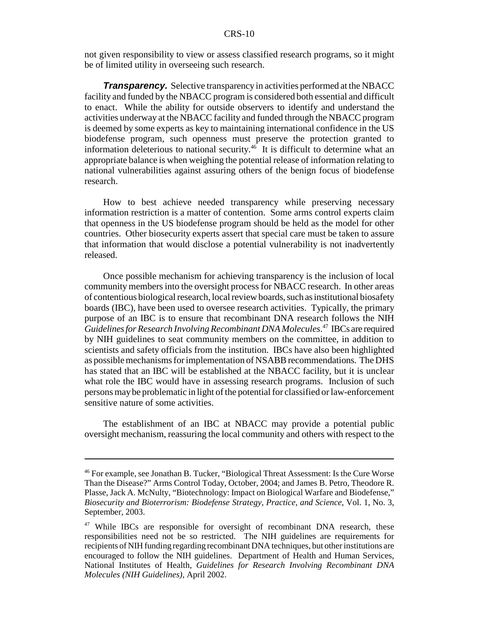not given responsibility to view or assess classified research programs, so it might be of limited utility in overseeing such research.

*Transparency.* Selective transparency in activities performed at the NBACC facility and funded by the NBACC program is considered both essential and difficult to enact. While the ability for outside observers to identify and understand the activities underway at the NBACC facility and funded through the NBACC program is deemed by some experts as key to maintaining international confidence in the US biodefense program, such openness must preserve the protection granted to information deleterious to national security.46 It is difficult to determine what an appropriate balance is when weighing the potential release of information relating to national vulnerabilities against assuring others of the benign focus of biodefense research.

How to best achieve needed transparency while preserving necessary information restriction is a matter of contention. Some arms control experts claim that openness in the US biodefense program should be held as the model for other countries. Other biosecurity experts assert that special care must be taken to assure that information that would disclose a potential vulnerability is not inadvertently released.

Once possible mechanism for achieving transparency is the inclusion of local community members into the oversight process for NBACC research. In other areas of contentious biological research, local review boards, such as institutional biosafety boards (IBC), have been used to oversee research activities. Typically, the primary purpose of an IBC is to ensure that recombinant DNA research follows the NIH *Guidelines for Research Involving Recombinant DNA Molecules*. 47 IBCs are required by NIH guidelines to seat community members on the committee, in addition to scientists and safety officials from the institution. IBCs have also been highlighted as possible mechanisms for implementation of NSABB recommendations. The DHS has stated that an IBC will be established at the NBACC facility, but it is unclear what role the IBC would have in assessing research programs. Inclusion of such persons may be problematic in light of the potential for classified or law-enforcement sensitive nature of some activities.

The establishment of an IBC at NBACC may provide a potential public oversight mechanism, reassuring the local community and others with respect to the

<sup>46</sup> For example, see Jonathan B. Tucker, "Biological Threat Assessment: Is the Cure Worse Than the Disease?" Arms Control Today, October, 2004; and James B. Petro, Theodore R. Plasse, Jack A. McNulty, "Biotechnology: Impact on Biological Warfare and Biodefense," *Biosecurity and Bioterrorism: Biodefense Strategy, Practice, and Science*, Vol. 1, No. 3, September, 2003.

<sup>&</sup>lt;sup>47</sup> While IBCs are responsible for oversight of recombinant DNA research, these responsibilities need not be so restricted. The NIH guidelines are requirements for recipients of NIH funding regarding recombinant DNA techniques, but other institutions are encouraged to follow the NIH guidelines. Department of Health and Human Services, National Institutes of Health, *Guidelines for Research Involving Recombinant DNA Molecules (NIH Guidelines)*, April 2002.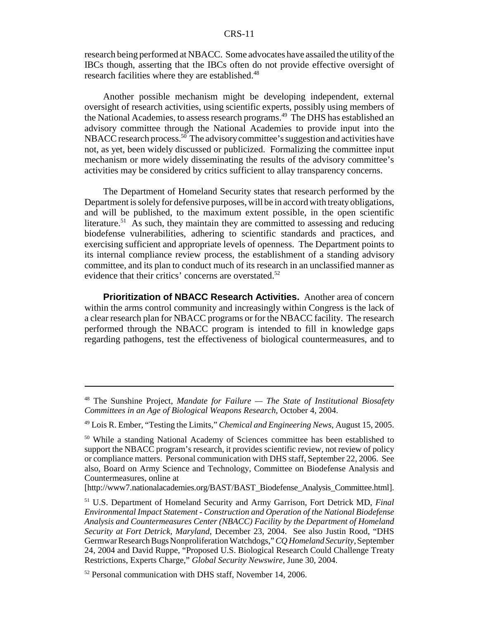#### CRS-11

research being performed at NBACC. Some advocates have assailed the utility of the IBCs though, asserting that the IBCs often do not provide effective oversight of research facilities where they are established.<sup>48</sup>

Another possible mechanism might be developing independent, external oversight of research activities, using scientific experts, possibly using members of the National Academies, to assess research programs.<sup>49</sup> The DHS has established an advisory committee through the National Academies to provide input into the NBACC research process.<sup>50</sup> The advisory committee's suggestion and activities have not, as yet, been widely discussed or publicized. Formalizing the committee input mechanism or more widely disseminating the results of the advisory committee's activities may be considered by critics sufficient to allay transparency concerns.

The Department of Homeland Security states that research performed by the Department is solely for defensive purposes, will be in accord with treaty obligations, and will be published, to the maximum extent possible, in the open scientific literature.<sup>51</sup> As such, they maintain they are committed to assessing and reducing biodefense vulnerabilities, adhering to scientific standards and practices, and exercising sufficient and appropriate levels of openness. The Department points to its internal compliance review process, the establishment of a standing advisory committee, and its plan to conduct much of its research in an unclassified manner as evidence that their critics' concerns are overstated.<sup>52</sup>

**Prioritization of NBACC Research Activities.** Another area of concern within the arms control community and increasingly within Congress is the lack of a clear research plan for NBACC programs or for the NBACC facility. The research performed through the NBACC program is intended to fill in knowledge gaps regarding pathogens, test the effectiveness of biological countermeasures, and to

<sup>48</sup> The Sunshine Project, *Mandate for Failure — The State of Institutional Biosafety Committees in an Age of Biological Weapons Research*, October 4, 2004.

<sup>49</sup> Lois R. Ember, "Testing the Limits," *Chemical and Engineering News*, August 15, 2005.

<sup>&</sup>lt;sup>50</sup> While a standing National Academy of Sciences committee has been established to support the NBACC program's research, it provides scientific review, not review of policy or compliance matters. Personal communication with DHS staff, September 22, 2006. See also, Board on Army Science and Technology, Committee on Biodefense Analysis and Countermeasures, online at

<sup>[</sup>http://www7.nationalacademies.org/BAST/BAST\_Biodefense\_Analysis\_Committee.html].

<sup>51</sup> U.S. Department of Homeland Security and Army Garrison, Fort Detrick MD, *Final Environmental Impact Statement - Construction and Operation of the National Biodefense Analysis and Countermeasures Center (NBACC) Facility by the Department of Homeland Security at Fort Detrick, Maryland*, December 23, 2004. See also Justin Rood, "DHS Germwar Research Bugs Nonproliferation Watchdogs," *CQ Homeland Security*, September 24, 2004 and David Ruppe, "Proposed U.S. Biological Research Could Challenge Treaty Restrictions, Experts Charge," *Global Security Newswire*, June 30, 2004.

<sup>&</sup>lt;sup>52</sup> Personal communication with DHS staff, November 14, 2006.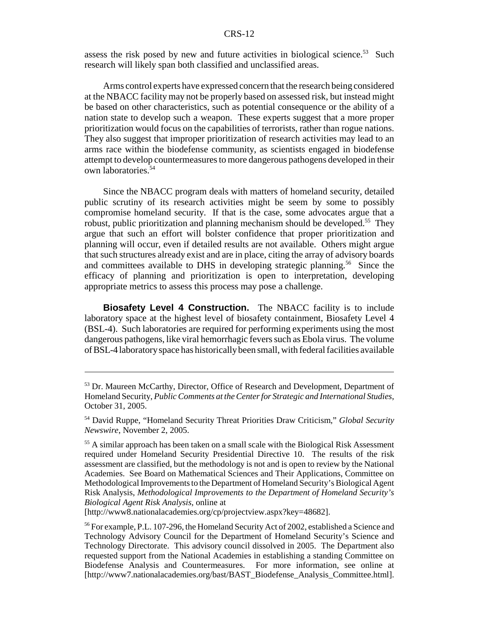#### CRS-12

assess the risk posed by new and future activities in biological science.<sup>53</sup> Such research will likely span both classified and unclassified areas.

Arms control experts have expressed concern that the research being considered at the NBACC facility may not be properly based on assessed risk, but instead might be based on other characteristics, such as potential consequence or the ability of a nation state to develop such a weapon. These experts suggest that a more proper prioritization would focus on the capabilities of terrorists, rather than rogue nations. They also suggest that improper prioritization of research activities may lead to an arms race within the biodefense community, as scientists engaged in biodefense attempt to develop countermeasures to more dangerous pathogens developed in their own laboratories.54

Since the NBACC program deals with matters of homeland security, detailed public scrutiny of its research activities might be seem by some to possibly compromise homeland security. If that is the case, some advocates argue that a robust, public prioritization and planning mechanism should be developed.<sup>55</sup> They argue that such an effort will bolster confidence that proper prioritization and planning will occur, even if detailed results are not available. Others might argue that such structures already exist and are in place, citing the array of advisory boards and committees available to DHS in developing strategic planning.<sup>56</sup> Since the efficacy of planning and prioritization is open to interpretation, developing appropriate metrics to assess this process may pose a challenge.

**Biosafety Level 4 Construction.** The NBACC facility is to include laboratory space at the highest level of biosafety containment, Biosafety Level 4 (BSL-4). Such laboratories are required for performing experiments using the most dangerous pathogens, like viral hemorrhagic fevers such as Ebola virus. The volume of BSL-4 laboratory space has historically been small, with federal facilities available

[http://www8.nationalacademies.org/cp/projectview.aspx?key=48682].

<sup>56</sup> For example, P.L. 107-296, the Homeland Security Act of 2002, established a Science and Technology Advisory Council for the Department of Homeland Security's Science and Technology Directorate. This advisory council dissolved in 2005. The Department also requested support from the National Academies in establishing a standing Committee on Biodefense Analysis and Countermeasures. For more information, see online at [http://www7.nationalacademies.org/bast/BAST\_Biodefense\_Analysis\_Committee.html].

<sup>53</sup> Dr. Maureen McCarthy, Director, Office of Research and Development, Department of Homeland Security, *Public Comments at the Center for Strategic and International Studies*, October 31, 2005.

<sup>54</sup> David Ruppe, "Homeland Security Threat Priorities Draw Criticism," *Global Security Newswire*, November 2, 2005.

<sup>&</sup>lt;sup>55</sup> A similar approach has been taken on a small scale with the Biological Risk Assessment required under Homeland Security Presidential Directive 10. The results of the risk assessment are classified, but the methodology is not and is open to review by the National Academies. See Board on Mathematical Sciences and Their Applications, Committee on Methodological Improvements to the Department of Homeland Security's Biological Agent Risk Analysis, *Methodological Improvements to the Department of Homeland Security's Biological Agent Risk Analysis*, online at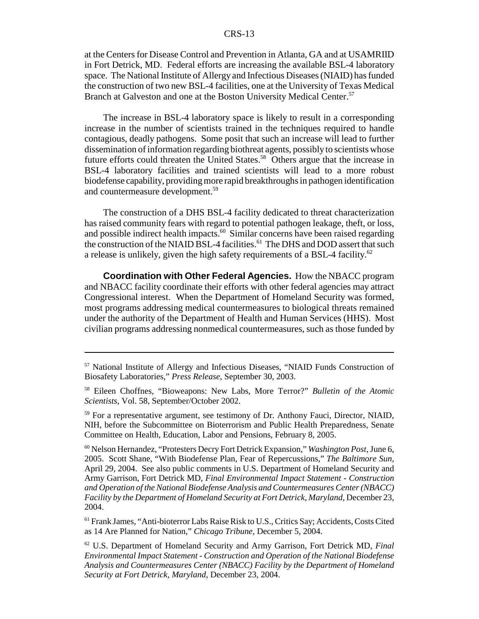at the Centers for Disease Control and Prevention in Atlanta, GA and at USAMRIID in Fort Detrick, MD. Federal efforts are increasing the available BSL-4 laboratory space. The National Institute of Allergy and Infectious Diseases (NIAID) has funded the construction of two new BSL-4 facilities, one at the University of Texas Medical Branch at Galveston and one at the Boston University Medical Center.<sup>57</sup>

The increase in BSL-4 laboratory space is likely to result in a corresponding increase in the number of scientists trained in the techniques required to handle contagious, deadly pathogens. Some posit that such an increase will lead to further dissemination of information regarding biothreat agents, possibly to scientists whose future efforts could threaten the United States.<sup>58</sup> Others argue that the increase in BSL-4 laboratory facilities and trained scientists will lead to a more robust biodefense capability, providing more rapid breakthroughs in pathogen identification and countermeasure development.<sup>59</sup>

The construction of a DHS BSL-4 facility dedicated to threat characterization has raised community fears with regard to potential pathogen leakage, theft, or loss, and possible indirect health impacts.<sup>60</sup> Similar concerns have been raised regarding the construction of the NIAID BSL-4 facilities.<sup>61</sup> The DHS and DOD assert that such a release is unlikely, given the high safety requirements of a BSL-4 facility.<sup>62</sup>

**Coordination with Other Federal Agencies.** How the NBACC program and NBACC facility coordinate their efforts with other federal agencies may attract Congressional interest. When the Department of Homeland Security was formed, most programs addressing medical countermeasures to biological threats remained under the authority of the Department of Health and Human Services (HHS). Most civilian programs addressing nonmedical countermeasures, such as those funded by

<sup>57</sup> National Institute of Allergy and Infectious Diseases, "NIAID Funds Construction of Biosafety Laboratories," *Press Release*, September 30, 2003.

<sup>58</sup> Eileen Choffnes, "Bioweapons: New Labs, More Terror?" *Bulletin of the Atomic Scientists*, Vol. 58, September/October 2002.

<sup>&</sup>lt;sup>59</sup> For a representative argument, see testimony of Dr. Anthony Fauci, Director, NIAID, NIH, before the Subcommittee on Bioterrorism and Public Health Preparedness, Senate Committee on Health, Education, Labor and Pensions, February 8, 2005.

<sup>60</sup> Nelson Hernandez, "Protesters Decry Fort Detrick Expansion," *Washington Post*, June 6, 2005. Scott Shane, "With Biodefense Plan, Fear of Repercussions," *The Baltimore Sun*, April 29, 2004. See also public comments in U.S. Department of Homeland Security and Army Garrison, Fort Detrick MD, *Final Environmental Impact Statement - Construction and Operation of the National Biodefense Analysis and Countermeasures Center (NBACC) Facility by the Department of Homeland Security at Fort Detrick, Maryland*, December 23, 2004.

<sup>&</sup>lt;sup>61</sup> Frank James, "Anti-bioterror Labs Raise Risk to U.S., Critics Say; Accidents, Costs Cited as 14 Are Planned for Nation," *Chicago Tribune*, December 5, 2004.

<sup>62</sup> U.S. Department of Homeland Security and Army Garrison, Fort Detrick MD, *Final Environmental Impact Statement - Construction and Operation of the National Biodefense Analysis and Countermeasures Center (NBACC) Facility by the Department of Homeland Security at Fort Detrick, Maryland*, December 23, 2004.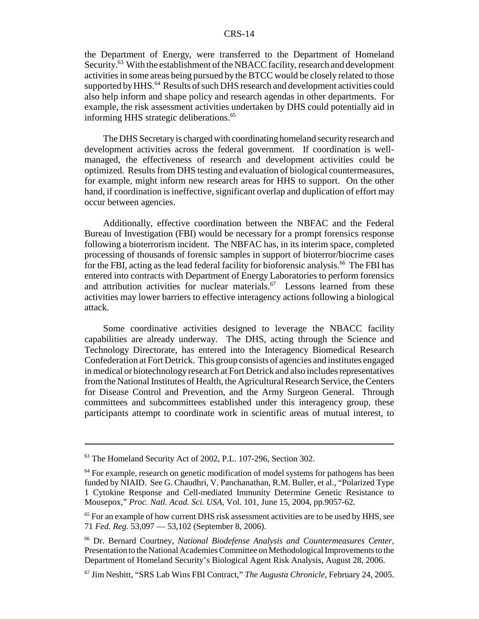#### CRS-14

the Department of Energy, were transferred to the Department of Homeland Security.<sup>63</sup> With the establishment of the NBACC facility, research and development activities in some areas being pursued by the BTCC would be closely related to those supported by HHS.<sup>64</sup> Results of such DHS research and development activities could also help inform and shape policy and research agendas in other departments. For example, the risk assessment activities undertaken by DHS could potentially aid in informing HHS strategic deliberations.<sup>65</sup>

The DHS Secretary is charged with coordinating homeland security research and development activities across the federal government. If coordination is wellmanaged, the effectiveness of research and development activities could be optimized. Results from DHS testing and evaluation of biological countermeasures, for example, might inform new research areas for HHS to support. On the other hand, if coordination is ineffective, significant overlap and duplication of effort may occur between agencies.

Additionally, effective coordination between the NBFAC and the Federal Bureau of Investigation (FBI) would be necessary for a prompt forensics response following a bioterrorism incident. The NBFAC has, in its interim space, completed processing of thousands of forensic samples in support of bioterror/biocrime cases for the FBI, acting as the lead federal facility for bioforensic analysis.<sup>66</sup> The FBI has entered into contracts with Department of Energy Laboratories to perform forensics and attribution activities for nuclear materials. $67$  Lessons learned from these activities may lower barriers to effective interagency actions following a biological attack.

Some coordinative activities designed to leverage the NBACC facility capabilities are already underway. The DHS, acting through the Science and Technology Directorate, has entered into the Interagency Biomedical Research Confederation at Fort Detrick. This group consists of agencies and institutes engaged in medical or biotechnology research at Fort Detrick and also includes representatives from the National Institutes of Health, the Agricultural Research Service, the Centers for Disease Control and Prevention, and the Army Surgeon General. Through committees and subcommittees established under this interagency group, these participants attempt to coordinate work in scientific areas of mutual interest, to

<sup>63</sup> The Homeland Security Act of 2002, P.L. 107-296, Section 302.

<sup>&</sup>lt;sup>64</sup> For example, research on genetic modification of model systems for pathogens has been funded by NIAID. See G. Chaudhri, V. Panchanathan, R.M. Buller, et al., "Polarized Type 1 Cytokine Response and Cell-mediated Immunity Determine Genetic Resistance to Mousepox," *Proc. Natl. Acad. Sci. USA*, Vol. 101, June 15, 2004, pp.9057-62.

<sup>&</sup>lt;sup>65</sup> For an example of how current DHS risk assessment activities are to be used by HHS, see 71 *Fed. Reg.* 53,097 — 53,102 (September 8, 2006).

<sup>66</sup> Dr. Bernard Courtney, *National Biodefense Analysis and Countermeasures Center*, Presentation to the National Academies Committee on Methodological Improvements to the Department of Homeland Security's Biological Agent Risk Analysis, August 28, 2006.

<sup>67</sup> Jim Nesbitt, "SRS Lab Wins FBI Contract," *The Augusta Chronicle*, February 24, 2005.